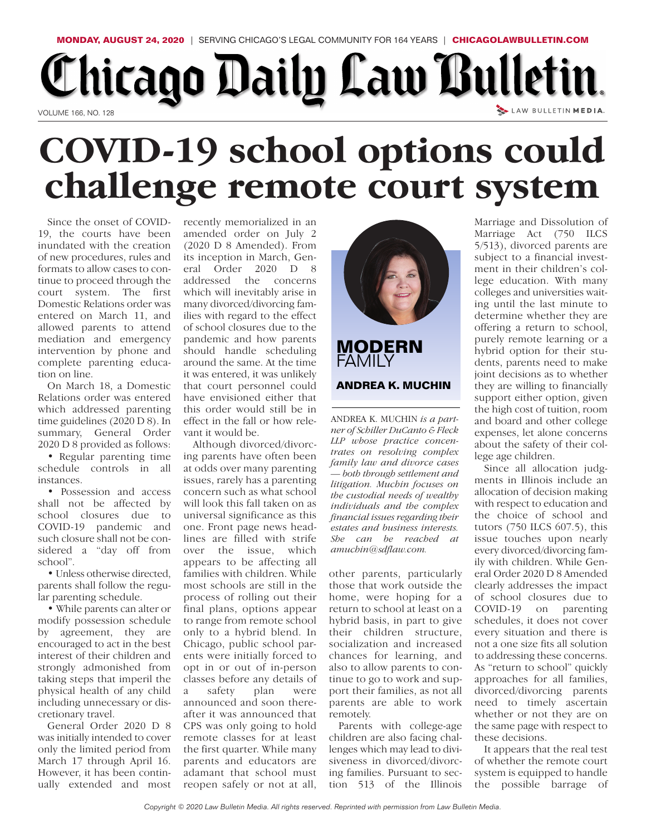## **MONDAY, AUGUST 24, 2020** | SERVING CHICAGO'S LEGAL COMMUNITY FOR 164 YEARS | **CHICAGOLAWBULLETIN.COM** Chicago Daily Law Bulletin. LAW BULLETIN MEDIA. VOLUME 166, NO. 128

## **COVID-19 school options could challenge remote court system**

Since the onset of COVID-19, the courts have been inundated with the creation of new procedures, rules and formats to allow cases to continue to proceed through the court system. The first Domestic Relations order was entered on March 11, and allowed parents to attend mediation and emergency intervention by phone and complete parenting education on line.

On March 18, a Domestic Relations order was entered which addressed parenting time guidelines (2020 D 8). In summary, General Order 2020 D 8 provided as follows:

• Regular parenting time schedule controls in all instances.

• Possession and access shall not be affected by school closures due to COVID-19 pandemic and such closure shall not be considered a "day off from school".

• Unless otherwise directed, parents shall follow the regular parenting schedule.

• While parents can alter or modify possession schedule by agreement, they are encouraged to act in the best interest of their children and strongly admonished from taking steps that imperil the physical health of any child including unnecessary or discretionary travel.

General Order 2020 D 8 was initially intended to cover only the limited period from March 17 through April 16. However, it has been continually extended and most recently memorialized in an amended order on July 2 (2020 D 8 Amended). From its inception in March, General Order 2020 D 8 eral Order 2020 D 8 addressed the concerns which will inevitably arise in many divorced/divorcing families with regard to the effect of school closures due to the pandemic and how parents should handle scheduling around the same. At the time it was entered, it was unlikely that court personnel could have envisioned either that this order would still be in effect in the fall or how relevant it would be.

Although divorced/divorcing parents have often been at odds over many parenting issues, rarely has a parenting concern such as what school will look this fall taken on as universal significance as this one. Front page news headlines are filled with strife over the issue, which appears to be affecting all families with children. While most schools are still in the process of rolling out their final plans, options appear to range from remote school only to a hybrid blend. In Chicago, public school parents were initially forced to opt in or out of in-person classes before any details of a safety plan were announced and soon thereafter it was announced that CPS was only going to hold remote classes for at least the first quarter. While many parents and educators are adamant that school must reopen safely or not at all,





ANDREA K. MUCHIN *is a partner of Schiller DuCanto & Fleck LLP whose practice concentrates on resolving complex family law and divorce cases — both through settlement and litigation. Muchin focuses on the custodial needs of wealthy individuals and the complex financial issues regarding their estates and business interests. She can be reached at amuchin@sdflaw.com.*

other parents, particularly those that work outside the home, were hoping for a return to school at least on a hybrid basis, in part to give their children structure, socialization and increased chances for learning, and also to allow parents to continue to go to work and support their families, as not all parents are able to work remotely.

Parents with college-age children are also facing challenges which may lead to divisiveness in divorced/divorcing families. Pursuant to section 513 of the Illinois

Marriage and Dissolution of Marriage Act (750 ILCS 5/513), divorced parents are subject to a financial investment in their children's college education. With many colleges and universities waiting until the last minute to determine whether they are offering a return to school, purely remote learning or a hybrid option for their students, parents need to make joint decisions as to whether they are willing to financially support either option, given the high cost of tuition, room and board and other college expenses, let alone concerns about the safety of their college age children.

Since all allocation judgments in Illinois include an allocation of decision making with respect to education and the choice of school and tutors (750 ILCS 607.5), this issue touches upon nearly every divorced/divorcing family with children. While General Order 2020 D 8 Amended clearly addresses the impact of school closures due to COVID-19 on parenting schedules, it does not cover every situation and there is not a one size fits all solution to addressing these concerns. As "return to school" quickly approaches for all families, divorced/divorcing parents need to timely ascertain whether or not they are on the same page with respect to these decisions.

It appears that the real test of whether the remote court system is equipped to handle the possible barrage of